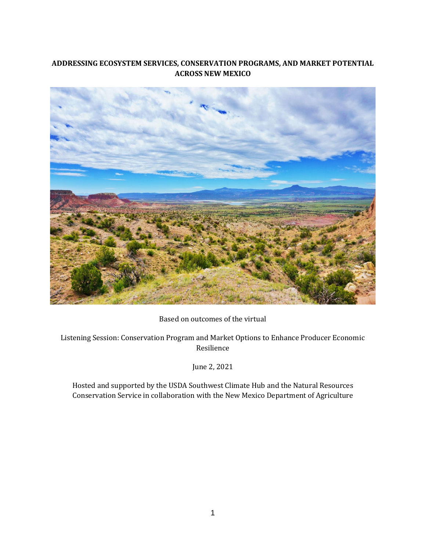# **ADDRESSING ECOSYSTEM SERVICES, CONSERVATION PROGRAMS, AND MARKET POTENTIAL ACROSS NEW MEXICO**



Based on outcomes of the virtual

Listening Session: Conservation Program and Market Options to Enhance Producer Economic Resilience

June 2, 2021

Hosted and supported by the USDA Southwest Climate Hub and the Natural Resources Conservation Service in collaboration with the New Mexico Department of Agriculture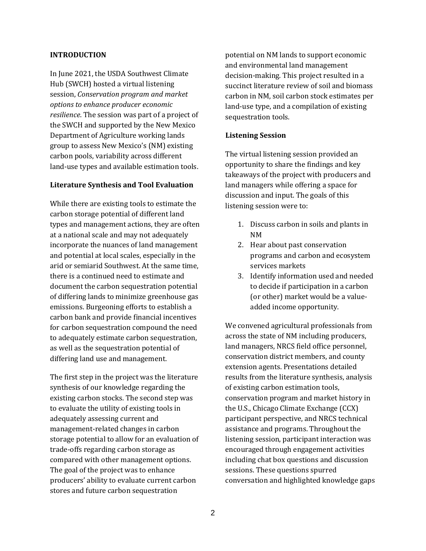#### **INTRODUCTION**

In June 2021, the USDA Southwest Climate Hub (SWCH) hosted a virtual listening session, *Conservation program and market options to enhance producer economic resilience*. The session was part of a project of the SWCH and supported by the New Mexico Department of Agriculture working lands group to assess New Mexico's (NM) existing carbon pools, variability across different land-use types and available estimation tools.

#### **Literature Synthesis and Tool Evaluation**

While there are existing tools to estimate the carbon storage potential of different land types and management actions, they are often at a national scale and may not adequately incorporate the nuances of land management and potential at local scales, especially in the arid or semiarid Southwest. At the same time, there is a continued need to estimate and document the carbon sequestration potential of differing lands to minimize greenhouse gas emissions. Burgeoning efforts to establish a carbon bank and provide financial incentives for carbon sequestration compound the need to adequately estimate carbon sequestration, as well as the sequestration potential of differing land use and management.

The first step in the project was the literature synthesis of our knowledge regarding the existing carbon stocks. The second step was to evaluate the utility of existing tools in adequately assessing current and management-related changes in carbon storage potential to allow for an evaluation of trade-offs regarding carbon storage as compared with other management options. The goal of the project was to enhance producers' ability to evaluate current carbon stores and future carbon sequestration

potential on NM lands to support economic and environmental land management decision-making. This project resulted in a succinct literature review of soil and biomass carbon in NM, soil carbon stock estimates per land-use type, and a compilation of existing sequestration tools.

#### **Listening Session**

The virtual listening session provided an opportunity to share the findings and key takeaways of the project with producers and land managers while offering a space for discussion and input. The goals of this listening session were to:

- 1. Discuss carbon in soils and plants in NM
- 2. Hear about past conservation programs and carbon and ecosystem services markets
- 3. Identify information used and needed to decide if participation in a carbon (or other) market would be a valueadded income opportunity.

We convened agricultural professionals from across the state of NM including producers, land managers, NRCS field office personnel, conservation district members, and county extension agents. Presentations detailed results from the literature synthesis, analysis of existing carbon estimation tools, conservation program and market history in the U.S., Chicago Climate Exchange (CCX) participant perspective, and NRCS technical assistance and programs. Throughout the listening session, participant interaction was encouraged through engagement activities including chat box questions and discussion sessions. These questions spurred conversation and highlighted knowledge gaps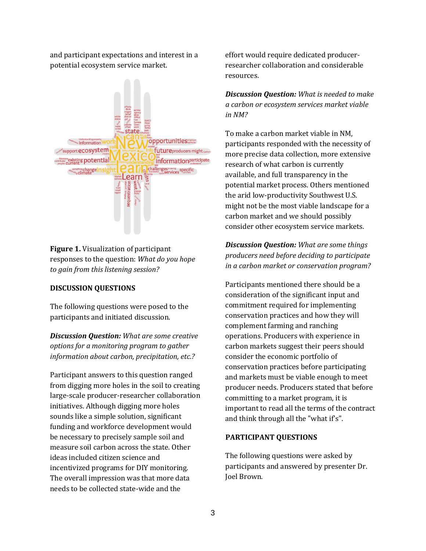and participant expectations and interest in a potential ecosystem service market.



**Figure 1.** Visualization of participant responses to the question: *What do you hope to gain from this listening session?*

## **DISCUSSION QUESTIONS**

The following questions were posed to the participants and initiated discussion.

*Discussion Question: What are some creative options for a monitoring program to gather information about carbon, precipitation, etc.?*

Participant answers to this question ranged from digging more holes in the soil to creating large-scale producer-researcher collaboration initiatives. Although digging more holes sounds like a simple solution, significant funding and workforce development would be necessary to precisely sample soil and measure soil carbon across the state. Other ideas included citizen science and incentivized programs for DIY monitoring. The overall impression was that more data needs to be collected state-wide and the

effort would require dedicated producerresearcher collaboration and considerable resources.

*Discussion Question: What is needed to make a carbon or ecosystem services market viable in NM?*

To make a carbon market viable in NM, participants responded with the necessity of more precise data collection, more extensive research of what carbon is currently available, and full transparency in the potential market process. Others mentioned the arid low-productivity Southwest U.S. might not be the most viable landscape for a carbon market and we should possibly consider other ecosystem service markets.

*Discussion Question: What are some things producers need before deciding to participate in a carbon market or conservation program?*

Participants mentioned there should be a consideration of the significant input and commitment required for implementing conservation practices and how they will complement farming and ranching operations. Producers with experience in carbon markets suggest their peers should consider the economic portfolio of conservation practices before participating and markets must be viable enough to meet producer needs. Producers stated that before committing to a market program, it is important to read all the terms of the contract and think through all the "what if's".

## **PARTICIPANT QUESTIONS**

The following questions were asked by participants and answered by presenter Dr. Joel Brown.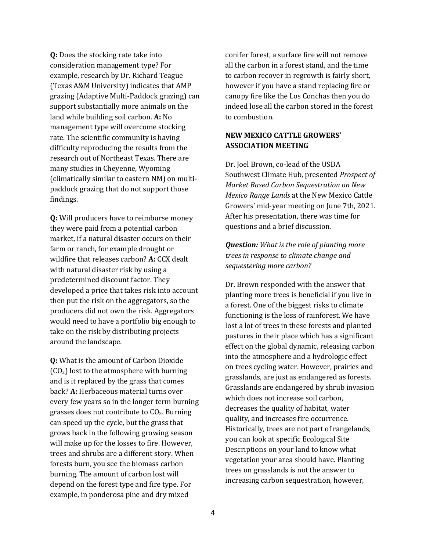**Q:** Does the stocking rate take into consideration management type? For example, research by Dr. Richard Teague (Texas A&M University) indicates that AMP grazing (Adaptive Multi-Paddock grazing) can support substantially more animals on the land while building soil carbon. **A:** No management type will overcome stocking rate. The scientific community is having difficulty reproducing the results from the research out of Northeast Texas. There are many studies in Cheyenne, Wyoming (climatically similar to eastern NM) on multipaddock grazing that do not support those findings.

**Q:** Will producers have to reimburse money they were paid from a potential carbon market, if a natural disaster occurs on their farm or ranch, for example drought or wildfire that releases carbon? **A:** CCX dealt with natural disaster risk by using a predetermined discount factor. They developed a price that takes risk into account then put the risk on the aggregators, so the producers did not own the risk. Aggregators would need to have a portfolio big enough to take on the risk by distributing projects around the landscape.

**Q:** What is the amount of Carbon Dioxide  $(CO<sub>2</sub>)$  lost to the atmosphere with burning and is it replaced by the grass that comes back? **A:** Herbaceous material turns over every few years so in the longer term burning grasses does not contribute to  $CO<sub>2</sub>$ . Burning can speed up the cycle, but the grass that grows back in the following growing season will make up for the losses to fire. However, trees and shrubs are a different story. When forests burn, you see the biomass carbon burning. The amount of carbon lost will depend on the forest type and fire type. For example, in ponderosa pine and dry mixed

conifer forest, a surface fire will not remove all the carbon in a forest stand, and the time to carbon recover in regrowth is fairly short, however if you have a stand replacing fire or canopy fire like the Los Conchas then you do indeed lose all the carbon stored in the forest to combustion.

## **NEW MEXICO CATTLE GROWERS' ASSOCIATION MEETING**

Dr. Joel Brown, co-lead of the USDA Southwest Climate Hub, presented *Prospect of Market Based Carbon Sequestration on New Mexico Range Lands* at the New Mexico Cattle Growers' mid-year meeting on June 7th, 2021. After his presentation, there was time for questions and a brief discussion.

*Question: What is the role of planting more trees in response to climate change and sequestering more carbon?* 

Dr. Brown responded with the answer that planting more trees is beneficial if you live in a forest. One of the biggest risks to climate functioning is the loss of rainforest. We have lost a lot of trees in these forests and planted pastures in their place which has a significant effect on the global dynamic, releasing carbon into the atmosphere and a hydrologic effect on trees cycling water. However, prairies and grasslands, are just as endangered as forests. Grasslands are endangered by shrub invasion which does not increase soil carbon, decreases the quality of habitat, water quality, and increases fire occurrence. Historically, trees are not part of rangelands, you can look at specific Ecological Site Descriptions on your land to know what vegetation your area should have. Planting trees on grasslands is not the answer to increasing carbon sequestration, however,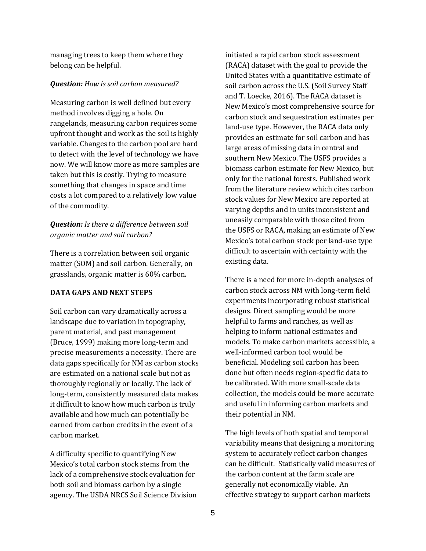managing trees to keep them where they belong can be helpful.

#### *Question: How is soil carbon measured?*

Measuring carbon is well defined but every method involves digging a hole. On rangelands, measuring carbon requires some upfront thought and work as the soil is highly variable. Changes to the carbon pool are hard to detect with the level of technology we have now. We will know more as more samples are taken but this is costly. Trying to measure something that changes in space and time costs a lot compared to a relatively low value of the commodity.

## *Question: Is there a difference between soil organic matter and soil carbon?*

There is a correlation between soil organic matter (SOM) and soil carbon. Generally, on grasslands, organic matter is 60% carbon.

## **DATA GAPS AND NEXT STEPS**

Soil carbon can vary dramatically across a landscape due to variation in topography, parent material, and past management (Bruce, 1999) making more long-term and precise measurements a necessity. There are data gaps specifically for NM as carbon stocks are estimated on a national scale but not as thoroughly regionally or locally. The lack of long-term, consistently measured data makes it difficult to know how much carbon is truly available and how much can potentially be earned from carbon credits in the event of a carbon market.

A difficulty specific to quantifying New Mexico's total carbon stock stems from the lack of a comprehensive stock evaluation for both soil and biomass carbon by a single agency. The USDA NRCS Soil Science Division initiated a rapid carbon stock assessment (RACA) dataset with the goal to provide the United States with a quantitative estimate of soil carbon across the U.S. (Soil Survey Staff and T. Loecke, 2016). The RACA dataset is New Mexico's most comprehensive source for carbon stock and sequestration estimates per land-use type. However, the RACA data only provides an estimate for soil carbon and has large areas of missing data in central and southern New Mexico. The USFS provides a biomass carbon estimate for New Mexico, but only for the national forests. Published work from the literature review which cites carbon stock values for New Mexico are reported at varying depths and in units inconsistent and uneasily comparable with those cited from the USFS or RACA, making an estimate of New Mexico's total carbon stock per land-use type difficult to ascertain with certainty with the existing data.

There is a need for more in-depth analyses of carbon stock across NM with long-term field experiments incorporating robust statistical designs. Direct sampling would be more helpful to farms and ranches, as well as helping to inform national estimates and models. To make carbon markets accessible, a well-informed carbon tool would be beneficial. Modeling soil carbon has been done but often needs region-specific data to be calibrated. With more small-scale data collection, the models could be more accurate and useful in informing carbon markets and their potential in NM.

The high levels of both spatial and temporal variability means that designing a monitoring system to accurately reflect carbon changes can be difficult. Statistically valid measures of the carbon content at the farm scale are generally not economically viable. An effective strategy to support carbon markets